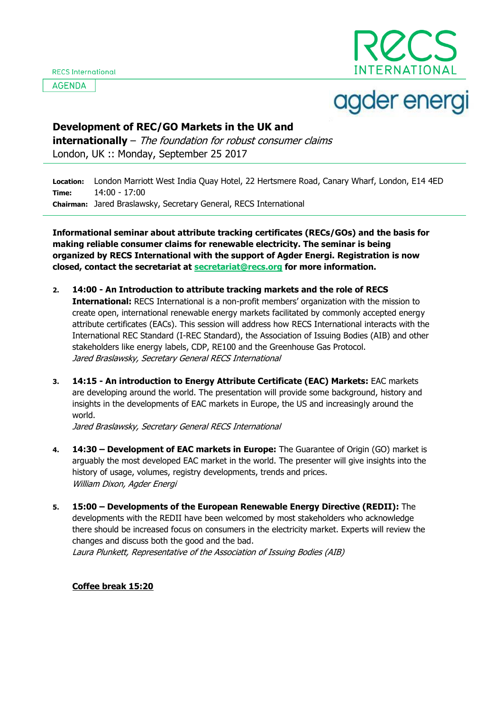**AGENDA** 

INTERNATIONAI

## agder energi

## **Development of REC/GO Markets in the UK and**

**internationally** – The foundation for robust consumer claims London, UK :: Monday, September 25 2017

**Location: Time: Chairman:** Jared Braslawsky, Secretary General, RECS International London Marriott West India Quay Hotel, 22 Hertsmere Road, Canary Wharf, London, E14 4ED 14:00 - 17:00

**1. Informational seminar about attribute tracking certificates (RECs/GOs) and the basis for making reliable consumer claims for renewable electricity. The seminar is being organized by RECS International with the support of Agder Energi. Registration is now closed, contact the secretariat at [secretariat@recs.org](mailto:secretariat@recs.org) for more information.** 

- **2. 14:00 - An Introduction to attribute tracking markets and the role of RECS International:** RECS International is a non-profit members' organization with the mission to create open, international renewable energy markets facilitated by commonly accepted energy attribute certificates (EACs). This session will address how RECS International interacts with the International REC Standard (I-REC Standard), the Association of Issuing Bodies (AIB) and other stakeholders like energy labels, CDP, RE100 and the Greenhouse Gas Protocol. Jared Braslawsky, Secretary General RECS International
- **3. 14:15 - An introduction to Energy Attribute Certificate (EAC) Markets:** EAC markets are developing around the world. The presentation will provide some background, history and insights in the developments of EAC markets in Europe, the US and increasingly around the world.

Jared Braslawsky, Secretary General RECS International

- **4. 14:30 – Development of EAC markets in Europe:** The Guarantee of Origin (GO) market is arguably the most developed EAC market in the world. The presenter will give insights into the history of usage, volumes, registry developments, trends and prices. William Dixon, Agder Energi
- **5. 15:00 – Developments of the European Renewable Energy Directive (REDII):** The developments with the REDII have been welcomed by most stakeholders who acknowledge there should be increased focus on consumers in the electricity market. Experts will review the changes and discuss both the good and the bad. Laura Plunkett, Representative of the Association of Issuing Bodies (AIB)

**Coffee break 15:20**